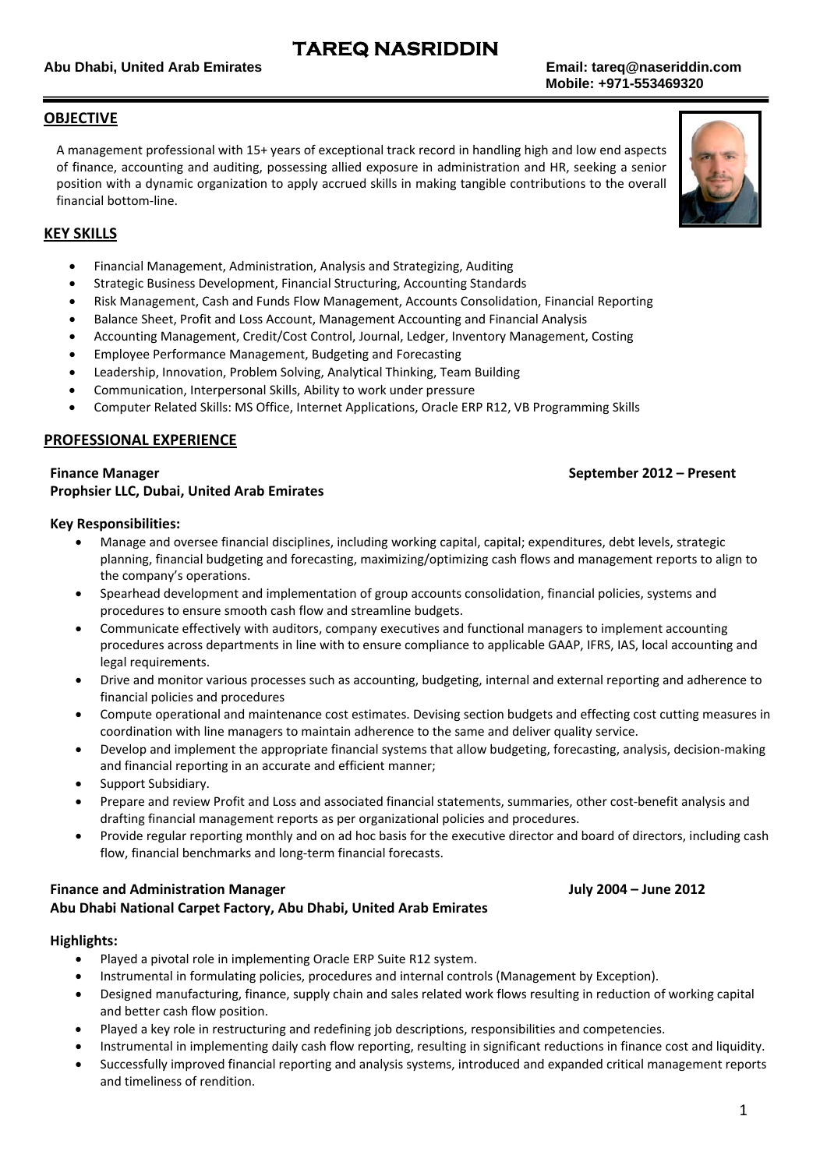## **TAREQ NASRIDDIN**

### **OBJECTIVE**

A management professional with 15+ years of exceptional track record in handling high and low end aspects of finance, accounting and auditing, possessing allied exposure in administration and HR, seeking a senior position with a dynamic organization to apply accrued skills in making tangible contributions to the overall financial bottom‐line.



### **KEY SKILLS**

- Financial Management, Administration, Analysis and Strategizing, Auditing
- Strategic Business Development, Financial Structuring, Accounting Standards
- Risk Management, Cash and Funds Flow Management, Accounts Consolidation, Financial Reporting
- Balance Sheet, Profit and Loss Account, Management Accounting and Financial Analysis
- Accounting Management, Credit/Cost Control, Journal, Ledger, Inventory Management, Costing
- Employee Performance Management, Budgeting and Forecasting
- Leadership, Innovation, Problem Solving, Analytical Thinking, Team Building
- Communication, Interpersonal Skills, Ability to work under pressure
- Computer Related Skills: MS Office, Internet Applications, Oracle ERP R12, VB Programming Skills

### **PROFESSIONAL EXPERIENCE**

### **Prophsier LLC, Dubai, United Arab Emirates**

### **Key Responsibilities:**

- Manage and oversee financial disciplines, including working capital, capital; expenditures, debt levels, strategic planning, financial budgeting and forecasting, maximizing/optimizing cash flows and management reports to align to the company's operations.
- Spearhead development and implementation of group accounts consolidation, financial policies, systems and procedures to ensure smooth cash flow and streamline budgets.
- Communicate effectively with auditors, company executives and functional managers to implement accounting procedures across departments in line with to ensure compliance to applicable GAAP, IFRS, IAS, local accounting and legal requirements.
- Drive and monitor various processes such as accounting, budgeting, internal and external reporting and adherence to financial policies and procedures
- Compute operational and maintenance cost estimates. Devising section budgets and effecting cost cutting measures in coordination with line managers to maintain adherence to the same and deliver quality service.
- Develop and implement the appropriate financial systems that allow budgeting, forecasting, analysis, decision-making and financial reporting in an accurate and efficient manner;
- Support Subsidiary.
- Prepare and review Profit and Loss and associated financial statements, summaries, other cost‐benefit analysis and drafting financial management reports as per organizational policies and procedures.
- Provide regular reporting monthly and on ad hoc basis for the executive director and board of directors, including cash flow, financial benchmarks and long‐term financial forecasts.

### **Finance and Administration Manager July 2004 – June 2012 Abu Dhabi National Carpet Factory, Abu Dhabi, United Arab Emirates**

### **Highlights:**

- Played a pivotal role in implementing Oracle ERP Suite R12 system.
- Instrumental in formulating policies, procedures and internal controls (Management by Exception).
- Designed manufacturing, finance, supply chain and sales related work flows resulting in reduction of working capital and better cash flow position.
- Played a key role in restructuring and redefining job descriptions, responsibilities and competencies.
- Instrumental in implementing daily cash flow reporting, resulting in significant reductions in finance cost and liquidity.
- Successfully improved financial reporting and analysis systems, introduced and expanded critical management reports and timeliness of rendition.

### **Finance Manager September 2012 – Present**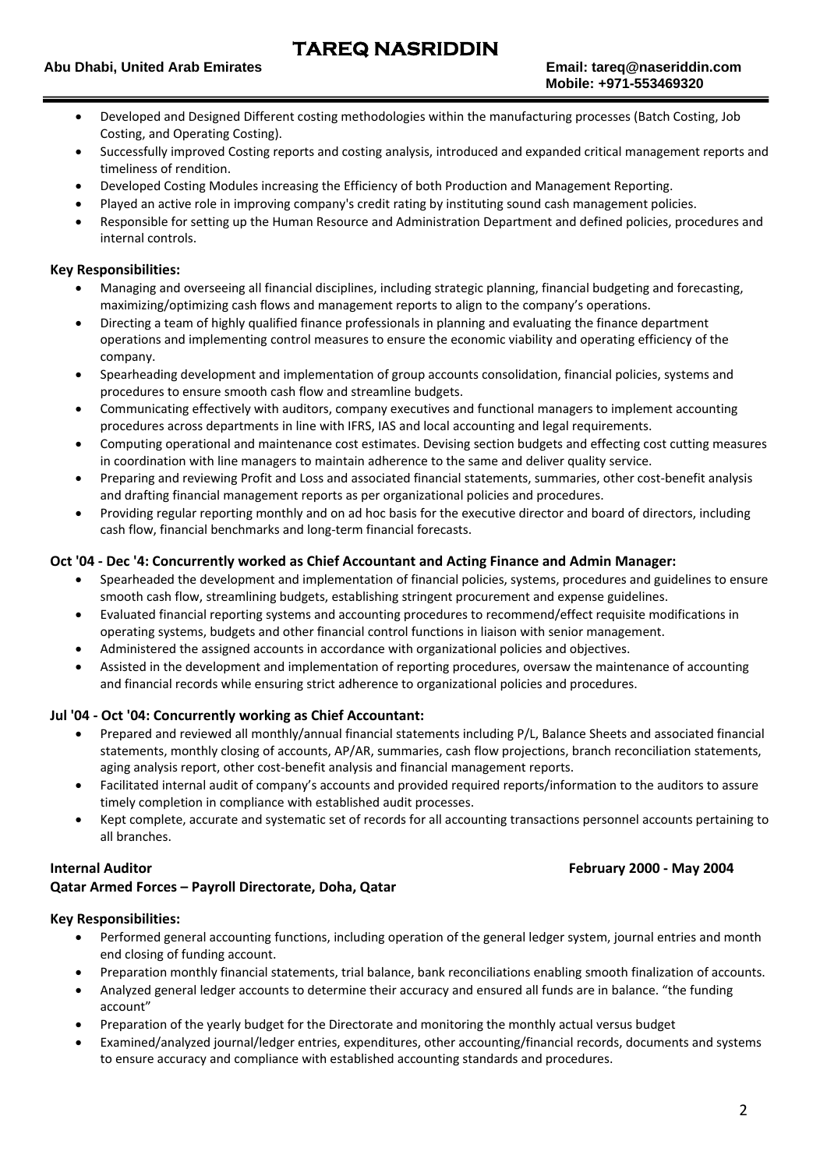- Developed and Designed Different costing methodologies within the manufacturing processes (Batch Costing, Job Costing, and Operating Costing).
- Successfully improved Costing reports and costing analysis, introduced and expanded critical management reports and timeliness of rendition.
- Developed Costing Modules increasing the Efficiency of both Production and Management Reporting.
- Played an active role in improving company's credit rating by instituting sound cash management policies.
- Responsible for setting up the Human Resource and Administration Department and defined policies, procedures and internal controls.

### **Key Responsibilities:**

- Managing and overseeing all financial disciplines, including strategic planning, financial budgeting and forecasting, maximizing/optimizing cash flows and management reports to align to the company's operations.
- Directing a team of highly qualified finance professionals in planning and evaluating the finance department operations and implementing control measures to ensure the economic viability and operating efficiency of the company.
- Spearheading development and implementation of group accounts consolidation, financial policies, systems and procedures to ensure smooth cash flow and streamline budgets.
- Communicating effectively with auditors, company executives and functional managers to implement accounting procedures across departments in line with IFRS, IAS and local accounting and legal requirements.
- Computing operational and maintenance cost estimates. Devising section budgets and effecting cost cutting measures in coordination with line managers to maintain adherence to the same and deliver quality service.
- Preparing and reviewing Profit and Loss and associated financial statements, summaries, other cost‐benefit analysis and drafting financial management reports as per organizational policies and procedures.
- Providing regular reporting monthly and on ad hoc basis for the executive director and board of directors, including cash flow, financial benchmarks and long‐term financial forecasts.

### **Oct '04 ‐ Dec '4: Concurrently worked as Chief Accountant and Acting Finance and Admin Manager:**

- Spearheaded the development and implementation of financial policies, systems, procedures and guidelines to ensure smooth cash flow, streamlining budgets, establishing stringent procurement and expense guidelines.
- Evaluated financial reporting systems and accounting procedures to recommend/effect requisite modifications in operating systems, budgets and other financial control functions in liaison with senior management.
- Administered the assigned accounts in accordance with organizational policies and objectives.
- Assisted in the development and implementation of reporting procedures, oversaw the maintenance of accounting and financial records while ensuring strict adherence to organizational policies and procedures.

### **Jul '04 ‐ Oct '04: Concurrently working as Chief Accountant:**

- Prepared and reviewed all monthly/annual financial statements including P/L, Balance Sheets and associated financial statements, monthly closing of accounts, AP/AR, summaries, cash flow projections, branch reconciliation statements, aging analysis report, other cost‐benefit analysis and financial management reports.
- Facilitated internal audit of company's accounts and provided required reports/information to the auditors to assure timely completion in compliance with established audit processes.
- Kept complete, accurate and systematic set of records for all accounting transactions personnel accounts pertaining to all branches.

### **Internal Auditor February 2000 ‐ May 2004**

### **Qatar Armed Forces – Payroll Directorate, Doha, Qatar**

### **Key Responsibilities:**

- Performed general accounting functions, including operation of the general ledger system, journal entries and month end closing of funding account.
- Preparation monthly financial statements, trial balance, bank reconciliations enabling smooth finalization of accounts.
- Analyzed general ledger accounts to determine their accuracy and ensured all funds are in balance. "the funding account"
- Preparation of the yearly budget for the Directorate and monitoring the monthly actual versus budget
- Examined/analyzed journal/ledger entries, expenditures, other accounting/financial records, documents and systems to ensure accuracy and compliance with established accounting standards and procedures.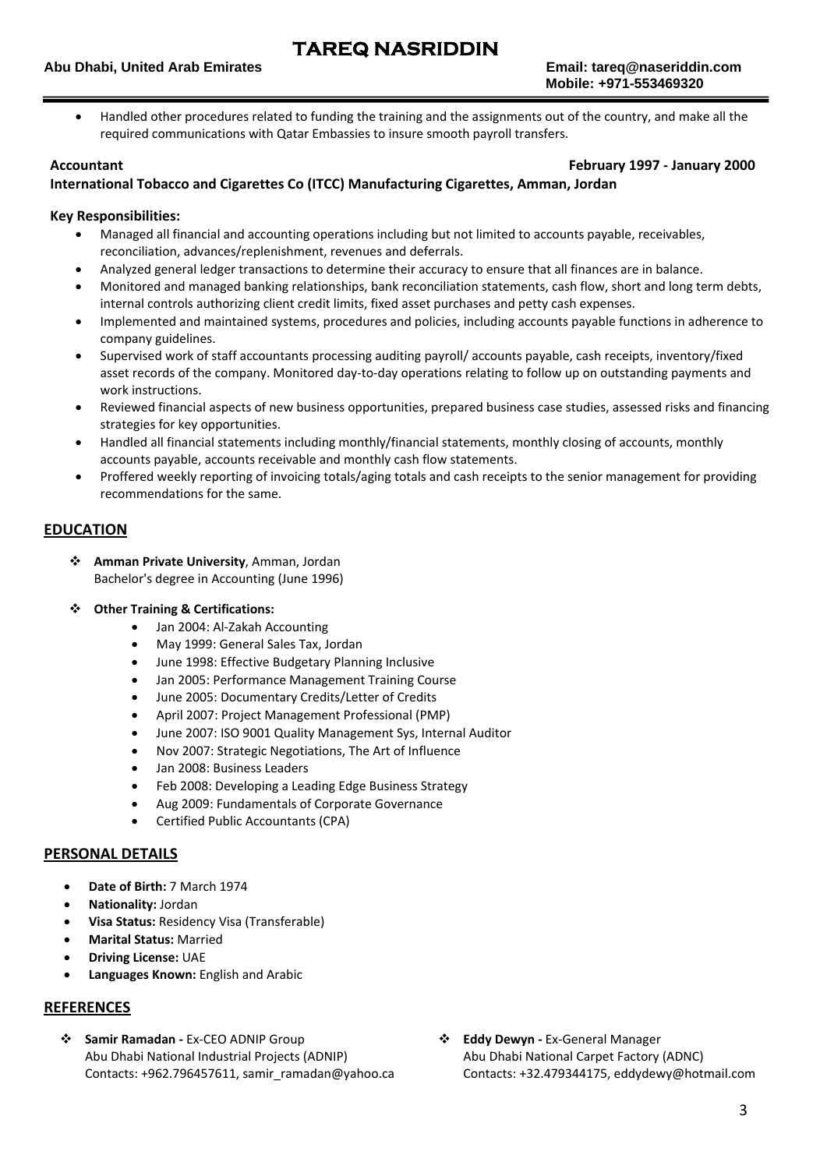Handled other procedures related to funding the training and the assignments out of the country, and make all the required communications with Qatar Embassies to insure smooth payroll transfers.

**Accountant February 1997 ‐ January 2000**

### **International Tobacco and Cigarettes Co (ITCC) Manufacturing Cigarettes, Amman, Jordan**

### **Key Responsibilities:**

- Managed all financial and accounting operations including but not limited to accounts payable, receivables, reconciliation, advances/replenishment, revenues and deferrals.
- Analyzed general ledger transactions to determine their accuracy to ensure that all finances are in balance.
- Monitored and managed banking relationships, bank reconciliation statements, cash flow, short and long term debts, internal controls authorizing client credit limits, fixed asset purchases and petty cash expenses.
- Implemented and maintained systems, procedures and policies, including accounts payable functions in adherence to company guidelines.
- Supervised work of staff accountants processing auditing payroll/ accounts payable, cash receipts, inventory/fixed asset records of the company. Monitored day‐to‐day operations relating to follow up on outstanding payments and work instructions.
- Reviewed financial aspects of new business opportunities, prepared business case studies, assessed risks and financing strategies for key opportunities.
- Handled all financial statements including monthly/financial statements, monthly closing of accounts, monthly accounts payable, accounts receivable and monthly cash flow statements.
- Proffered weekly reporting of invoicing totals/aging totals and cash receipts to the senior management for providing recommendations for the same.

### **EDUCATION**

- **Amman Private University**, Amman, Jordan Bachelor's degree in Accounting (June 1996)
- **Other Training & Certifications:**
	- Jan 2004: Al-Zakah Accounting
	- May 1999: General Sales Tax, Jordan
	- June 1998: Effective Budgetary Planning Inclusive
	- Jan 2005: Performance Management Training Course
	- June 2005: Documentary Credits/Letter of Credits
	- April 2007: Project Management Professional (PMP)
	- June 2007: ISO 9001 Quality Management Sys, Internal Auditor
	- Nov 2007: Strategic Negotiations, The Art of Influence
	- Jan 2008: Business Leaders
	- Feb 2008: Developing a Leading Edge Business Strategy
	- Aug 2009: Fundamentals of Corporate Governance
	- Certified Public Accountants (CPA)

### **PERSONAL DETAILS**

- **Date of Birth:** 7 March 1974
- **Nationality:** Jordan
- **Visa Status:** Residency Visa (Transferable)
- **Marital Status:** Married
- **Driving License:** UAE
- **Languages Known:** English and Arabic

### **REFERENCES**

- **Samir Ramadan ‐** Ex‐CEO ADNIP Group Abu Dhabi National Industrial Projects (ADNIP) Contacts: +962.796457611, samir\_ramadan@yahoo.ca
- **Eddy Dewyn ‐** Ex‐General Manager Abu Dhabi National Carpet Factory (ADNC) Contacts: +32.479344175, eddydewy@hotmail.com